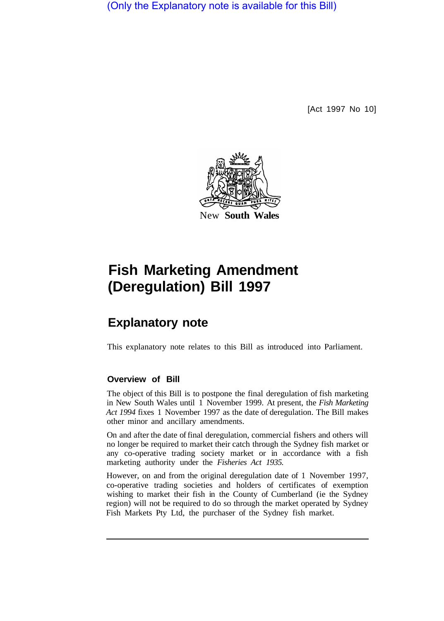(Only the Explanatory note is available for this Bill)

[Act 1997 No 10]



# **Fish Marketing Amendment (Deregulation) Bill 1997**

## **Explanatory note**

This explanatory note relates to this Bill as introduced into Parliament.

#### **Overview of Bill**

The object of this Bill is to postpone the final deregulation of fish marketing in New South Wales until 1 November 1999. At present, the *Fish Marketing Act 1994* fixes 1 November 1997 as the date of deregulation. The Bill makes other minor and ancillary amendments.

On and after the date of final deregulation, commercial fishers and others will no longer be required to market their catch through the Sydney fish market or any co-operative trading society market or in accordance with a fish marketing authority under the *Fisheries Act 1935.* 

However, on and from the original deregulation date of 1 November 1997, co-operative trading societies and holders of certificates of exemption wishing to market their fish in the County of Cumberland (ie the Sydney region) will not be required to do so through the market operated by Sydney Fish Markets Pty Ltd, the purchaser of the Sydney fish market.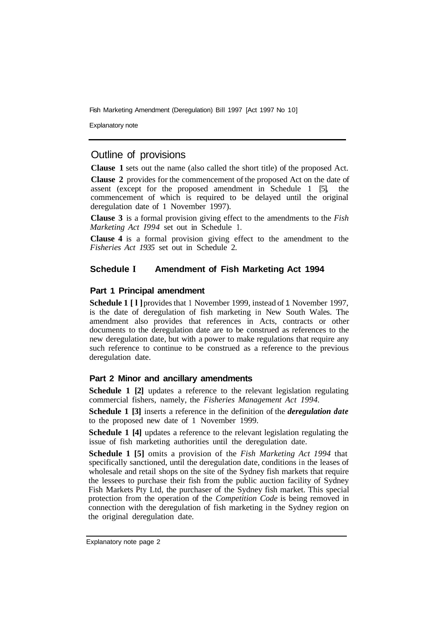Fish Marketing Amendment (Deregulation) Bill 1997 [Act 1997 No 10]

Explanatory note

#### Outline of provisions

**Clause 1** sets out the name (also called the short title) of the proposed Act.

**Clause 2** provides for the commencement of the proposed Act on the date of assent (except for the proposed amendment in Schedule 1 [5], the commencement of which is required to be delayed until the original deregulation date of 1 November 1997).

**Clause 3** is a formal provision giving effect to the amendments to the *Fish Marketing Act I994* set out in Schedule 1.

**Clause 4** is a formal provision giving effect to the amendment to the *Fisheries Act 1935* set out in Schedule 2.

#### **Schedule I Amendment of Fish Marketing Act 1994**

#### **Part 1 Principal amendment**

**Schedule 1 [l]** provides that 1 November 1999, instead of 1 November 1997, is the date of deregulation of fish marketing in New South Wales. The amendment also provides that references in Acts, contracts or other documents to the deregulation date are to be construed as references to the new deregulation date, but with a power to make regulations that require any such reference to continue to be construed as a reference to the previous deregulation date.

#### **Part 2 Minor and ancillary amendments**

**Schedule 1 [2]** updates a reference to the relevant legislation regulating commercial fishers, namely, the *Fisheries Management Act 1994.* 

**Schedule 1 [3]** inserts a reference in the definition of the *deregulation date*  to the proposed new date of 1 November 1999.

**Schedule 1 [4]** updates a reference to the relevant legislation regulating the issue of fish marketing authorities until the deregulation date.

**Schedule 1 [5]** omits a provision of the *Fish Marketing Act 1994* that specifically sanctioned, until the deregulation date, conditions in the leases of wholesale and retail shops on the site of the Sydney fish markets that require the lessees to purchase their fish from the public auction facility of Sydney Fish Markets Pty Ltd, the purchaser of the Sydney fish market. This special protection from the operation of the *Competition Code* is being removed in connection with the deregulation of fish marketing in the Sydney region on the original deregulation date.